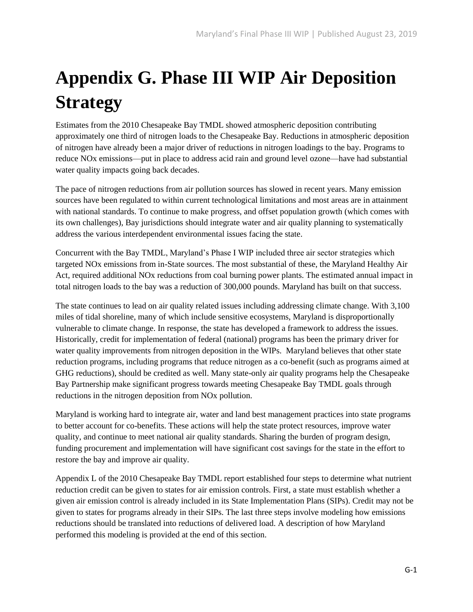# **Appendix G. Phase III WIP Air Deposition Strategy**

Estimates from the 2010 Chesapeake Bay TMDL showed atmospheric deposition contributing approximately one third of nitrogen loads to the Chesapeake Bay. Reductions in atmospheric deposition of nitrogen have already been a major driver of reductions in nitrogen loadings to the bay. Programs to reduce NOx emissions—put in place to address acid rain and ground level ozone—have had substantial water quality impacts going back decades.

The pace of nitrogen reductions from air pollution sources has slowed in recent years. Many emission sources have been regulated to within current technological limitations and most areas are in attainment with national standards. To continue to make progress, and offset population growth (which comes with its own challenges), Bay jurisdictions should integrate water and air quality planning to systematically address the various interdependent environmental issues facing the state.

Concurrent with the Bay TMDL, Maryland's Phase I WIP included three air sector strategies which targeted NOx emissions from in-State sources. The most substantial of these, the Maryland Healthy Air Act, required additional NOx reductions from coal burning power plants. The estimated annual impact in total nitrogen loads to the bay was a reduction of 300,000 pounds. Maryland has built on that success.

The state continues to lead on air quality related issues including addressing climate change. With 3,100 miles of tidal shoreline, many of which include sensitive ecosystems, Maryland is disproportionally vulnerable to climate change. In response, the state has developed a framework to address the issues. Historically, credit for implementation of federal (national) programs has been the primary driver for water quality improvements from nitrogen deposition in the WIPs. Maryland believes that other state reduction programs, including programs that reduce nitrogen as a co-benefit (such as programs aimed at GHG reductions), should be credited as well. Many state-only air quality programs help the Chesapeake Bay Partnership make significant progress towards meeting Chesapeake Bay TMDL goals through reductions in the nitrogen deposition from NOx pollution.

Maryland is working hard to integrate air, water and land best management practices into state programs to better account for co-benefits. These actions will help the state protect resources, improve water quality, and continue to meet national air quality standards. Sharing the burden of program design, funding procurement and implementation will have significant cost savings for the state in the effort to restore the bay and improve air quality.

Appendix L of the 2010 Chesapeake Bay TMDL report established four steps to determine what nutrient reduction credit can be given to states for air emission controls. First, a state must establish whether a given air emission control is already included in its State Implementation Plans (SIPs). Credit may not be given to states for programs already in their SIPs. The last three steps involve modeling how emissions reductions should be translated into reductions of delivered load. A description of how Maryland performed this modeling is provided at the end of this section.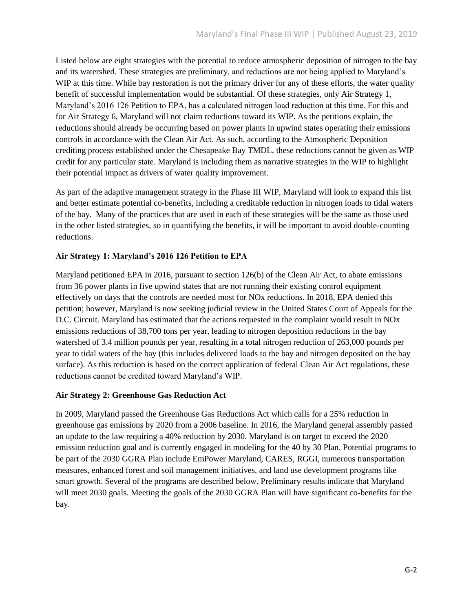Listed below are eight strategies with the potential to reduce atmospheric deposition of nitrogen to the bay and its watershed. These strategies are preliminary, and reductions are not being applied to Maryland's WIP at this time. While bay restoration is not the primary driver for any of these efforts, the water quality benefit of successful implementation would be substantial. Of these strategies, only Air Strategy 1, Maryland's 2016 126 Petition to EPA, has a calculated nitrogen load reduction at this time. For this and for Air Strategy 6, Maryland will not claim reductions toward its WIP. As the petitions explain, the reductions should already be occurring based on power plants in upwind states operating their emissions controls in accordance with the Clean Air Act. As such, according to the Atmospheric Deposition crediting process established under the Chesapeake Bay TMDL, these reductions cannot be given as WIP credit for any particular state. Maryland is including them as narrative strategies in the WIP to highlight their potential impact as drivers of water quality improvement.

As part of the adaptive management strategy in the Phase III WIP, Maryland will look to expand this list and better estimate potential co-benefits, including a creditable reduction in nitrogen loads to tidal waters of the bay. Many of the practices that are used in each of these strategies will be the same as those used in the other listed strategies, so in quantifying the benefits, it will be important to avoid double-counting reductions.

## **Air Strategy 1: Maryland's 2016 126 Petition to EPA**

Maryland petitioned EPA in 2016, pursuant to section 126(b) of the Clean Air Act, to abate emissions from 36 power plants in five upwind states that are not running their existing control equipment effectively on days that the controls are needed most for NOx reductions. In 2018, EPA denied this petition; however, Maryland is now seeking judicial review in the United States Court of Appeals for the D.C. Circuit. Maryland has estimated that the actions requested in the complaint would result in NOx emissions reductions of 38,700 tons per year, leading to nitrogen deposition reductions in the bay watershed of 3.4 million pounds per year, resulting in a total nitrogen reduction of 263,000 pounds per year to tidal waters of the bay (this includes delivered loads to the bay and nitrogen deposited on the bay surface). As this reduction is based on the correct application of federal Clean Air Act regulations, these reductions cannot be credited toward Maryland's WIP.

## **Air Strategy 2: Greenhouse Gas Reduction Act**

In 2009, Maryland passed the Greenhouse Gas Reductions Act which calls for a 25% reduction in greenhouse gas emissions by 2020 from a 2006 baseline. In 2016, the Maryland general assembly passed an update to the law requiring a 40% reduction by 2030. Maryland is on target to exceed the 2020 emission reduction goal and is currently engaged in modeling for the 40 by 30 Plan. Potential programs to be part of the 2030 GGRA Plan include EmPower Maryland, CARES, RGGI, numerous transportation measures, enhanced forest and soil management initiatives, and land use development programs like smart growth. Several of the programs are described below. Preliminary results indicate that Maryland will meet 2030 goals. Meeting the goals of the 2030 GGRA Plan will have significant co-benefits for the bay.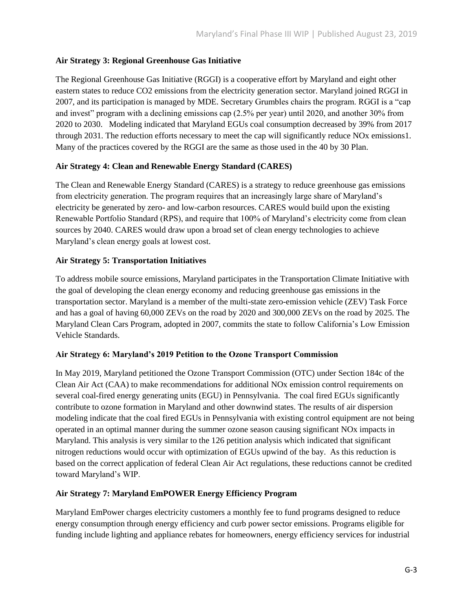## **Air Strategy 3: Regional Greenhouse Gas Initiative**

The Regional Greenhouse Gas Initiative (RGGI) is a cooperative effort by Maryland and eight other eastern states to reduce CO2 emissions from the electricity generation sector. Maryland joined RGGI in 2007, and its participation is managed by MDE. Secretary Grumbles chairs the program. RGGI is a "cap and invest" program with a declining emissions cap (2.5% per year) until 2020, and another 30% from 2020 to 2030. Modeling indicated that Maryland EGUs coal consumption decreased by 39% from 2017 through 2031. The reduction efforts necessary to meet the cap will significantly reduce NOx emissions1. Many of the practices covered by the RGGI are the same as those used in the 40 by 30 Plan.

## **Air Strategy 4: Clean and Renewable Energy Standard (CARES)**

The Clean and Renewable Energy Standard (CARES) is a strategy to reduce greenhouse gas emissions from electricity generation. The program requires that an increasingly large share of Maryland's electricity be generated by zero- and low-carbon resources. CARES would build upon the existing Renewable Portfolio Standard (RPS), and require that 100% of Maryland's electricity come from clean sources by 2040. CARES would draw upon a broad set of clean energy technologies to achieve Maryland's clean energy goals at lowest cost.

## **Air Strategy 5: Transportation Initiatives**

To address mobile source emissions, Maryland participates in the Transportation Climate Initiative with the goal of developing the clean energy economy and reducing greenhouse gas emissions in the transportation sector. Maryland is a member of the multi-state zero-emission vehicle (ZEV) Task Force and has a goal of having 60,000 ZEVs on the road by 2020 and 300,000 ZEVs on the road by 2025. The Maryland Clean Cars Program, adopted in 2007, commits the state to follow California's Low Emission Vehicle Standards.

## **Air Strategy 6: Maryland's 2019 Petition to the Ozone Transport Commission**

In May 2019, Maryland petitioned the Ozone Transport Commission (OTC) under Section 184c of the Clean Air Act (CAA) to make recommendations for additional NOx emission control requirements on several coal-fired energy generating units (EGU) in Pennsylvania. The coal fired EGUs significantly contribute to ozone formation in Maryland and other downwind states. The results of air dispersion modeling indicate that the coal fired EGUs in Pennsylvania with existing control equipment are not being operated in an optimal manner during the summer ozone season causing significant NOx impacts in Maryland. This analysis is very similar to the 126 petition analysis which indicated that significant nitrogen reductions would occur with optimization of EGUs upwind of the bay. As this reduction is based on the correct application of federal Clean Air Act regulations, these reductions cannot be credited toward Maryland's WIP.

## **Air Strategy 7: Maryland EmPOWER Energy Efficiency Program**

Maryland EmPower charges electricity customers a monthly fee to fund programs designed to reduce energy consumption through energy efficiency and curb power sector emissions. Programs eligible for funding include lighting and appliance rebates for homeowners, energy efficiency services for industrial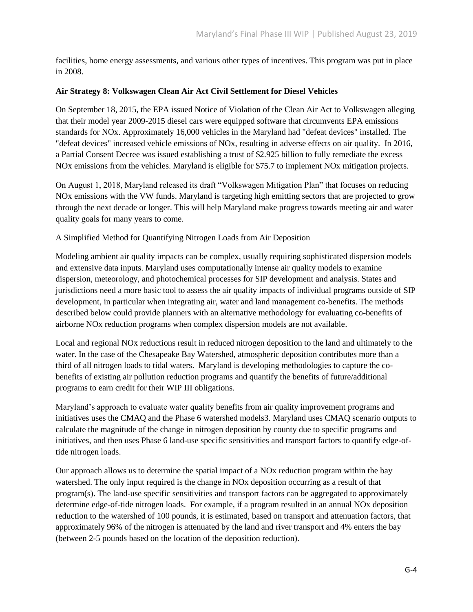facilities, home energy assessments, and various other types of incentives. This program was put in place in 2008.

## **Air Strategy 8: Volkswagen Clean Air Act Civil Settlement for Diesel Vehicles**

On September 18, 2015, the EPA issued Notice of Violation of the Clean Air Act to Volkswagen alleging that their model year 2009-2015 diesel cars were equipped software that circumvents EPA emissions standards for NOx. Approximately 16,000 vehicles in the Maryland had "defeat devices" installed. The "defeat devices" increased vehicle emissions of NOx, resulting in adverse effects on air quality. In 2016, a Partial Consent Decree was issued establishing a trust of \$2.925 billion to fully remediate the excess NOx emissions from the vehicles. Maryland is eligible for \$75.7 to implement NOx mitigation projects.

On August 1, 2018, Maryland released its draft "Volkswagen Mitigation Plan" that focuses on reducing NOx emissions with the VW funds. Maryland is targeting high emitting sectors that are projected to grow through the next decade or longer. This will help Maryland make progress towards meeting air and water quality goals for many years to come.

## A Simplified Method for Quantifying Nitrogen Loads from Air Deposition

Modeling ambient air quality impacts can be complex, usually requiring sophisticated dispersion models and extensive data inputs. Maryland uses computationally intense air quality models to examine dispersion, meteorology, and photochemical processes for SIP development and analysis. States and jurisdictions need a more basic tool to assess the air quality impacts of individual programs outside of SIP development, in particular when integrating air, water and land management co-benefits. The methods described below could provide planners with an alternative methodology for evaluating co-benefits of airborne NOx reduction programs when complex dispersion models are not available.

Local and regional NOx reductions result in reduced nitrogen deposition to the land and ultimately to the water. In the case of the Chesapeake Bay Watershed, atmospheric deposition contributes more than a third of all nitrogen loads to tidal waters. Maryland is developing methodologies to capture the cobenefits of existing air pollution reduction programs and quantify the benefits of future/additional programs to earn credit for their WIP III obligations.

Maryland's approach to evaluate water quality benefits from air quality improvement programs and initiatives uses the CMAQ and the Phase 6 watershed models3. Maryland uses CMAQ scenario outputs to calculate the magnitude of the change in nitrogen deposition by county due to specific programs and initiatives, and then uses Phase 6 land-use specific sensitivities and transport factors to quantify edge-oftide nitrogen loads.

Our approach allows us to determine the spatial impact of a NOx reduction program within the bay watershed. The only input required is the change in NOx deposition occurring as a result of that program(s). The land-use specific sensitivities and transport factors can be aggregated to approximately determine edge-of-tide nitrogen loads. For example, if a program resulted in an annual NOx deposition reduction to the watershed of 100 pounds, it is estimated, based on transport and attenuation factors, that approximately 96% of the nitrogen is attenuated by the land and river transport and 4% enters the bay (between 2-5 pounds based on the location of the deposition reduction).